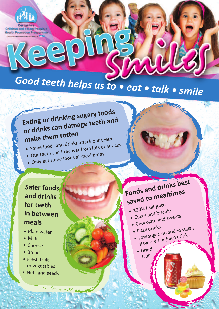

**Derhushire** Children and Young People's Alik Bangar

# *Good teeth helps us to • eat • talk • smile*

### **Eating or drinking sugary foods or drinks can damage teeth and make them rotten**

make them formulation attack our teeth<br>• Some foods and drinks attack our teeth

- Some foods and drinks according to a tracks<br>• Our teeth can't recover from lots of attacks
- Our teem can example at meal times
- 

#### **Safer foods and drinks for teeth in between meals**

- Plain water
- Milk
- Cheese
- Bread
- Fresh fruit or vegetables
- Nuts and seeds

## **Foods and drinks best saved to mealtimes**

- $\bullet$  100% fruit juice
- $\cdot$  Tubble 100 cakes and biscuits
- Cakes  $\frac{1}{2}$  chocolate and sweets
- 
- Fizzy drinks • Fizzy drinks
- Fizzy drinks<br>• Low sugar, no added sugar,
- flavoured or juice drinks
	- Dried fruit